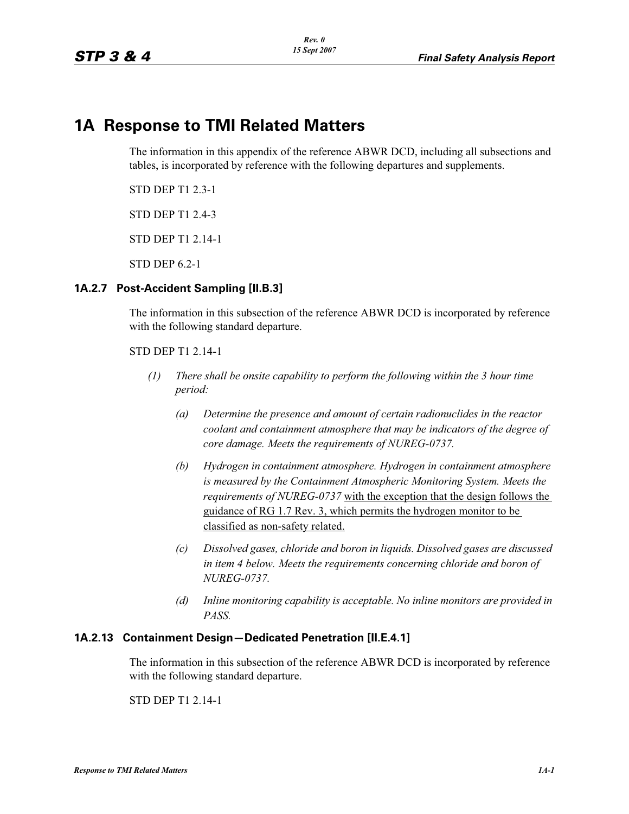# **1A Response to TMI Related Matters**

The information in this appendix of the reference ABWR DCD, including all subsections and tables, is incorporated by reference with the following departures and supplements.

STD DEP T1 2.3-1

STD DEP T1 2.4-3

STD DEP T1 2.14-1

STD DEP 6.2-1

#### **1A.2.7 Post-Accident Sampling [II.B.3]**

The information in this subsection of the reference ABWR DCD is incorporated by reference with the following standard departure.

STD DEP T1 2.14-1

- *(1) There shall be onsite capability to perform the following within the 3 hour time period:*
	- *(a) Determine the presence and amount of certain radionuclides in the reactor coolant and containment atmosphere that may be indicators of the degree of core damage. Meets the requirements of NUREG-0737.*
	- *(b) Hydrogen in containment atmosphere. Hydrogen in containment atmosphere is measured by the Containment Atmospheric Monitoring System. Meets the requirements of NUREG-0737* with the exception that the design follows the guidance of RG 1.7 Rev. 3, which permits the hydrogen monitor to be classified as non-safety related.
	- *(c) Dissolved gases, chloride and boron in liquids. Dissolved gases are discussed in item 4 below. Meets the requirements concerning chloride and boron of NUREG-0737.*
	- *(d) Inline monitoring capability is acceptable. No inline monitors are provided in PASS.*

#### **1A.2.13 Containment Design—Dedicated Penetration [II.E.4.1]**

The information in this subsection of the reference ABWR DCD is incorporated by reference with the following standard departure.

STD DEP T1 2.14-1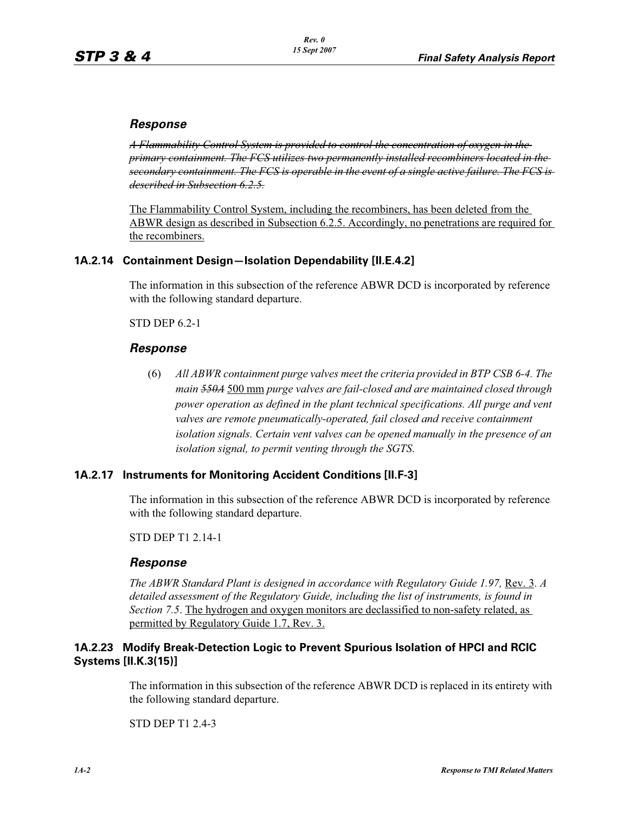# *Response*

*A Flammability Control System is provided to control the concentration of oxygen in the primary containment. The FCS utilizes two permanently installed recombiners located in the secondary containment. The FCS is operable in the event of a single active failure. The FCS is described in Subsection 6.2.5.*

The Flammability Control System, including the recombiners, has been deleted from the ABWR design as described in Subsection 6.2.5. Accordingly, no penetrations are required for the recombiners.

# **1A.2.14 Containment Design—Isolation Dependability [II.E.4.2]**

The information in this subsection of the reference ABWR DCD is incorporated by reference with the following standard departure.

STD DEP 6.2-1

## *Response*

(6) *All ABWR containment purge valves meet the criteria provided in BTP CSB 6-4. The main 550A* 500 mm *purge valves are fail-closed and are maintained closed through power operation as defined in the plant technical specifications. All purge and vent* valves are remote pneumatically-operated, fail closed and receive containment *isolation signals. Certain vent valves can be opened manually in the presence of an isolation signal, to permit venting through the SGTS*.

## **1A.2.17 Instruments for Monitoring Accident Conditions [II.F-3]**

The information in this subsection of the reference ABWR DCD is incorporated by reference with the following standard departure.

STD DEP T1 2.14-1

## *Response*

*The ABWR Standard Plant is designed in accordance with Regulatory Guide 1.97,* Rev. 3. *A*  detailed assessment of the Regulatory Guide, including the list of instruments, is found in *Section 7.5*. The hydrogen and oxygen monitors are declassified to non-safety related, as permitted by Regulatory Guide 1.7, Rev. 3.

## **1A.2.23 Modify Break-Detection Logic to Prevent Spurious Isolation of HPCI and RCIC Systems [II.K.3(15)]**

The information in this subsection of the reference ABWR DCD is replaced in its entirety with the following standard departure.

STD DEP T1 2.4-3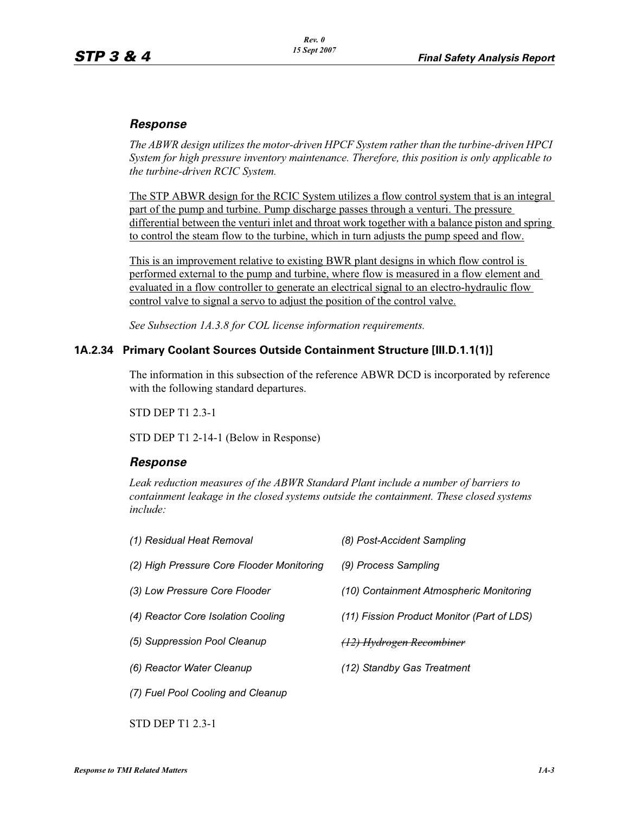# *Response*

*The ABWR design utilizes the motor-driven HPCF System rather than the turbine-driven HPCI System for high pressure inventory maintenance. Therefore, this position is only applicable to the turbine-driven RCIC System.*

The STP ABWR design for the RCIC System utilizes a flow control system that is an integral part of the pump and turbine. Pump discharge passes through a venturi. The pressure differential between the venturi inlet and throat work together with a balance piston and spring to control the steam flow to the turbine, which in turn adjusts the pump speed and flow.

This is an improvement relative to existing BWR plant designs in which flow control is performed external to the pump and turbine, where flow is measured in a flow element and evaluated in a flow controller to generate an electrical signal to an electro-hydraulic flow control valve to signal a servo to adjust the position of the control valve.

*See Subsection 1A.3.8 for COL license information requirements.*

#### **1A.2.34 Primary Coolant Sources Outside Containment Structure [III.D.1.1(1)]**

The information in this subsection of the reference ABWR DCD is incorporated by reference with the following standard departures.

STD DEP T1 2.3-1

STD DEP T1 2-14-1 (Below in Response)

## *Response*

*Leak reduction measures of the ABWR Standard Plant include a number of barriers to containment leakage in the closed systems outside the containment. These closed systems include:*

| (1) Residual Heat Removal                 | (8) Post-Accident Sampling                 |
|-------------------------------------------|--------------------------------------------|
| (2) High Pressure Core Flooder Monitoring | (9) Process Sampling                       |
| (3) Low Pressure Core Flooder             | (10) Containment Atmospheric Monitoring    |
| (4) Reactor Core Isolation Cooling        | (11) Fission Product Monitor (Part of LDS) |
| (5) Suppression Pool Cleanup              | <del>(12) Hydrogen Recombiner</del>        |
| (6) Reactor Water Cleanup                 | (12) Standby Gas Treatment                 |
| (7) Fuel Pool Cooling and Cleanup         |                                            |

STD DEP T1 2.3-1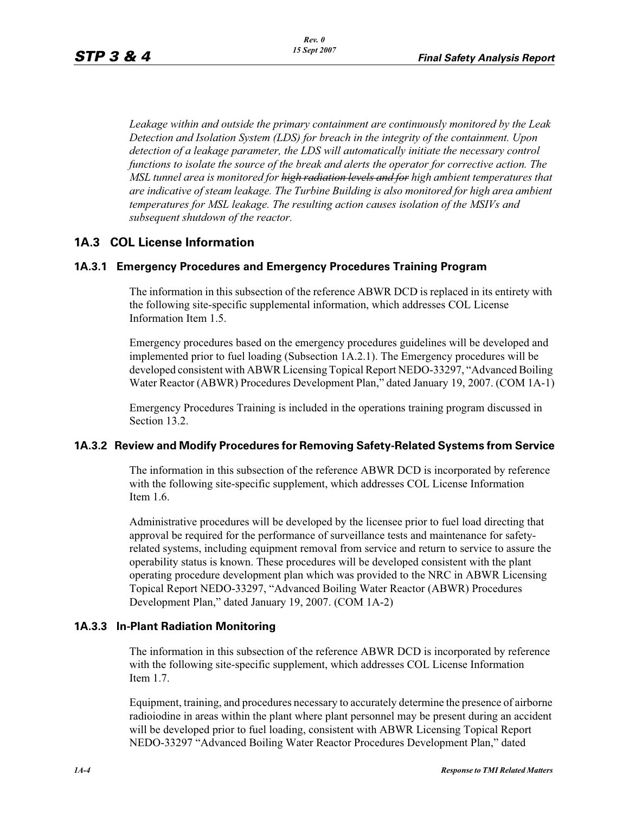*Leakage within and outside the primary containment are continuously monitored by the Leak Detection and Isolation System (LDS) for breach in the integrity of the containment. Upon detection of a leakage parameter, the LDS will automatically initiate the necessary control functions to isolate the source of the break and alerts the operator for corrective action. The MSL tunnel area is monitored for high radiation levels and for high ambient temperatures that are indicative of steam leakage. The Turbine Building is also monitored for high area ambient temperatures for MSL leakage. The resulting action causes isolation of the MSIVs and subsequent shutdown of the reactor.*

# **1A.3 COL License Information**

## **1A.3.1 Emergency Procedures and Emergency Procedures Training Program**

The information in this subsection of the reference ABWR DCD is replaced in its entirety with the following site-specific supplemental information, which addresses COL License Information Item 1.5.

Emergency procedures based on the emergency procedures guidelines will be developed and implemented prior to fuel loading (Subsection 1A.2.1). The Emergency procedures will be developed consistent with ABWR Licensing Topical Report NEDO-33297, "Advanced Boiling Water Reactor (ABWR) Procedures Development Plan," dated January 19, 2007. (COM 1A-1)

Emergency Procedures Training is included in the operations training program discussed in Section 13.2.

#### **1A.3.2 Review and Modify Procedures for Removing Safety-Related Systems from Service**

The information in this subsection of the reference ABWR DCD is incorporated by reference with the following site-specific supplement, which addresses COL License Information Item 1.6.

Administrative procedures will be developed by the licensee prior to fuel load directing that approval be required for the performance of surveillance tests and maintenance for safetyrelated systems, including equipment removal from service and return to service to assure the operability status is known. These procedures will be developed consistent with the plant operating procedure development plan which was provided to the NRC in ABWR Licensing Topical Report NEDO-33297, "Advanced Boiling Water Reactor (ABWR) Procedures Development Plan," dated January 19, 2007. (COM 1A-2)

#### **1A.3.3 In-Plant Radiation Monitoring**

The information in this subsection of the reference ABWR DCD is incorporated by reference with the following site-specific supplement, which addresses COL License Information Item 1.7.

Equipment, training, and procedures necessary to accurately determine the presence of airborne radioiodine in areas within the plant where plant personnel may be present during an accident will be developed prior to fuel loading, consistent with ABWR Licensing Topical Report NEDO-33297 "Advanced Boiling Water Reactor Procedures Development Plan," dated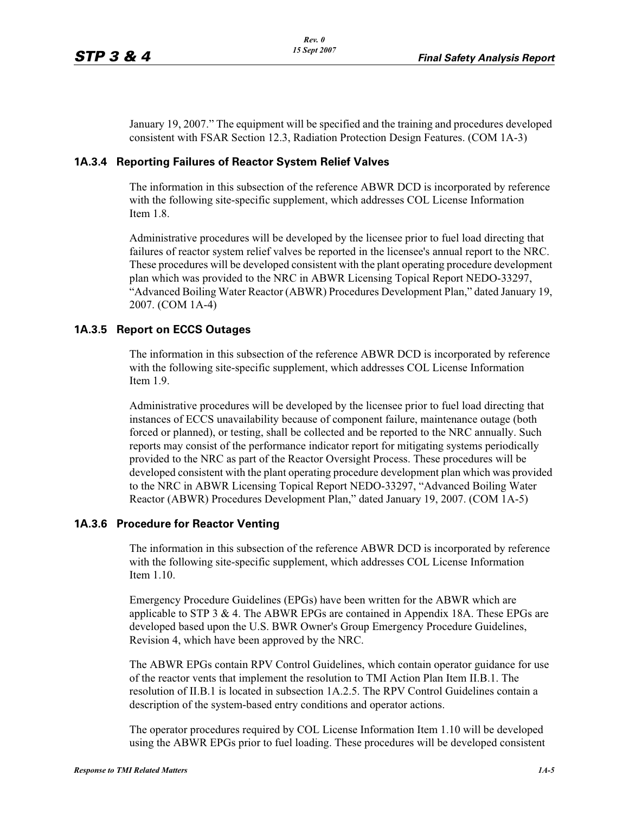January 19, 2007." The equipment will be specified and the training and procedures developed consistent with FSAR Section 12.3, Radiation Protection Design Features. (COM 1A-3)

#### **1A.3.4 Reporting Failures of Reactor System Relief Valves**

The information in this subsection of the reference ABWR DCD is incorporated by reference with the following site-specific supplement, which addresses COL License Information Item 1.8.

Administrative procedures will be developed by the licensee prior to fuel load directing that failures of reactor system relief valves be reported in the licensee's annual report to the NRC. These procedures will be developed consistent with the plant operating procedure development plan which was provided to the NRC in ABWR Licensing Topical Report NEDO-33297, "Advanced Boiling Water Reactor (ABWR) Procedures Development Plan," dated January 19, 2007. (COM 1A-4)

#### **1A.3.5 Report on ECCS Outages**

The information in this subsection of the reference ABWR DCD is incorporated by reference with the following site-specific supplement, which addresses COL License Information Item 1.9.

Administrative procedures will be developed by the licensee prior to fuel load directing that instances of ECCS unavailability because of component failure, maintenance outage (both forced or planned), or testing, shall be collected and be reported to the NRC annually. Such reports may consist of the performance indicator report for mitigating systems periodically provided to the NRC as part of the Reactor Oversight Process. These procedures will be developed consistent with the plant operating procedure development plan which was provided to the NRC in ABWR Licensing Topical Report NEDO-33297, "Advanced Boiling Water Reactor (ABWR) Procedures Development Plan," dated January 19, 2007. (COM 1A-5)

#### **1A.3.6 Procedure for Reactor Venting**

The information in this subsection of the reference ABWR DCD is incorporated by reference with the following site-specific supplement, which addresses COL License Information Item 1.10.

Emergency Procedure Guidelines (EPGs) have been written for the ABWR which are applicable to STP 3 & 4. The ABWR EPGs are contained in Appendix 18A. These EPGs are developed based upon the U.S. BWR Owner's Group Emergency Procedure Guidelines, Revision 4, which have been approved by the NRC.

The ABWR EPGs contain RPV Control Guidelines, which contain operator guidance for use of the reactor vents that implement the resolution to TMI Action Plan Item II.B.1. The resolution of II.B.1 is located in subsection 1A.2.5. The RPV Control Guidelines contain a description of the system-based entry conditions and operator actions.

The operator procedures required by COL License Information Item 1.10 will be developed using the ABWR EPGs prior to fuel loading. These procedures will be developed consistent